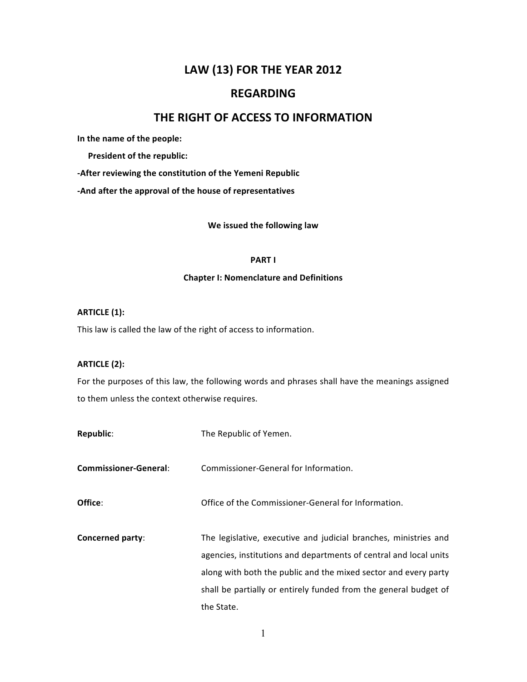# LAW (13) FOR THE YEAR 2012

# **REGARDING**

# THE RIGHT OF ACCESS TO INFORMATION

In the name of the people:

President of the republic:

-After reviewing the constitution of the Yemeni Republic

-And after the approval of the house of representatives

# We issued the following law

# **PARTI**

### **Chapter I: Nomenclature and Definitions**

# **ARTICLE (1):**

This law is called the law of the right of access to information.

# **ARTICLE (2):**

For the purposes of this law, the following words and phrases shall have the meanings assigned to them unless the context otherwise requires.

| The Republic of Yemen.                                                                                                                                                                                                                                                                     |
|--------------------------------------------------------------------------------------------------------------------------------------------------------------------------------------------------------------------------------------------------------------------------------------------|
| Commissioner-General for Information.                                                                                                                                                                                                                                                      |
| Office of the Commissioner-General for Information.                                                                                                                                                                                                                                        |
| The legislative, executive and judicial branches, ministries and<br>agencies, institutions and departments of central and local units<br>along with both the public and the mixed sector and every party<br>shall be partially or entirely funded from the general budget of<br>the State. |
|                                                                                                                                                                                                                                                                                            |

 $\mathbf{1}$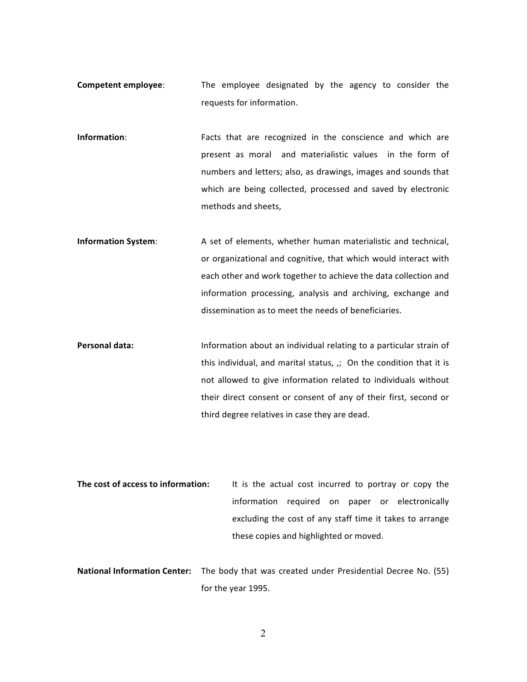- **Competent employee:** The employee designated by the agency to consider the requests for information.
- **Information:** Facts that are recognized in the conscience and which are present as moral and materialistic values in the form of numbers and letters; also, as drawings, images and sounds that which are being collected, processed and saved by electronic methods and sheets,
- **Information System:** A set of elements, whether human materialistic and technical, or organizational and cognitive, that which would interact with each other and work together to achieve the data collection and information processing, analysis and archiving, exchange and dissemination as to meet the needs of beneficiaries.
- **Personal data:** Information about an individual relating to a particular strain of this individual, and marital status,  $j$ ; On the condition that it is not allowed to give information related to individuals without their direct consent or consent of any of their first, second or third degree relatives in case they are dead.
- **The cost of access to information:** It is the actual cost incurred to portray or copy the information required on paper or electronically excluding the cost of any staff time it takes to arrange these copies and highlighted or moved.
- **National Information Center:** The body that was created under Presidential Decree No. (55) for the year 1995.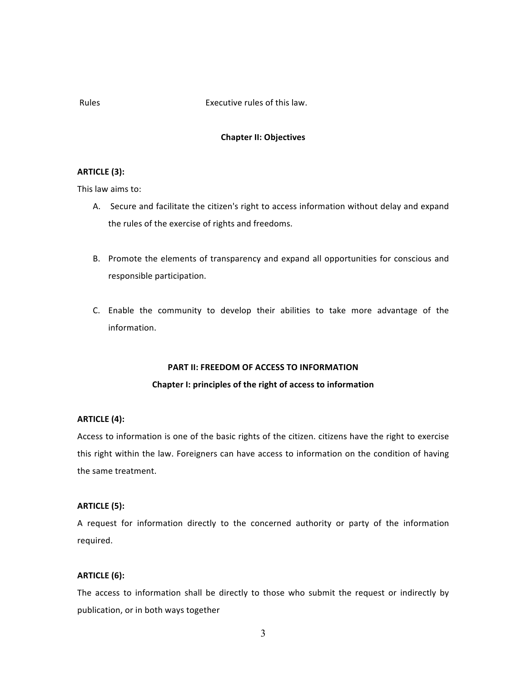# Executive rules of this law.

# **Rules**

# **Chapter II: Objectives**

# **ARTICLE (3):**

This law aims to:

- A. Secure and facilitate the citizen's right to access information without delay and expand the rules of the exercise of rights and freedoms.
- B. Promote the elements of transparency and expand all opportunities for conscious and responsible participation.
- C. Enable the community to develop their abilities to take more advantage of the information.

# PART II: FREEDOM OF ACCESS TO INFORMATION

# Chapter I: principles of the right of access to information

## **ARTICLE (4):**

Access to information is one of the basic rights of the citizen. citizens have the right to exercise this right within the law. Foreigners can have access to information on the condition of having the same treatment.

# **ARTICLE (5):**

A request for information directly to the concerned authority or party of the information required.

#### **ARTICLE** (6):

The access to information shall be directly to those who submit the request or indirectly by publication, or in both ways together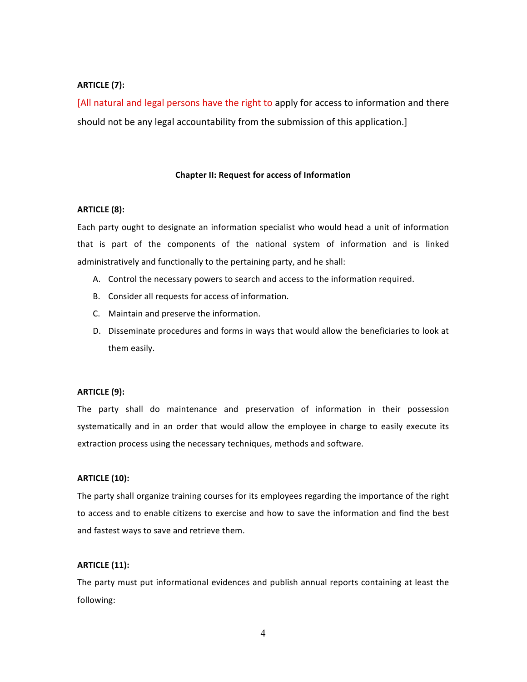# **ARTICLE (7):**

[All natural and legal persons have the right to apply for access to information and there should not be any legal accountability from the submission of this application.]

# **Chapter II: Request for access of Information**

# **ARTICLE (8):**

Each party ought to designate an information specialist who would head a unit of information that is part of the components of the national system of information and is linked administratively and functionally to the pertaining party, and he shall:

- A. Control the necessary powers to search and access to the information required.
- B. Consider all requests for access of information.
- C. Maintain and preserve the information.
- D. Disseminate procedures and forms in ways that would allow the beneficiaries to look at them easily.

#### **ARTICLE (9):**

The party shall do maintenance and preservation of information in their possession systematically and in an order that would allow the employee in charge to easily execute its extraction process using the necessary techniques, methods and software.

# **ARTICLE (10):**

The party shall organize training courses for its employees regarding the importance of the right to access and to enable citizens to exercise and how to save the information and find the best and fastest ways to save and retrieve them.

#### **ARTICLE (11):**

The party must put informational evidences and publish annual reports containing at least the following:

4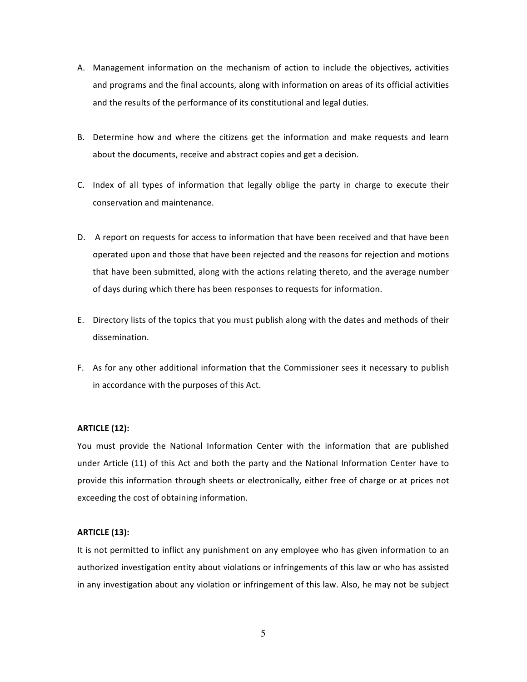- A. Management information on the mechanism of action to include the objectives, activities and programs and the final accounts, along with information on areas of its official activities and the results of the performance of its constitutional and legal duties.
- B. Determine how and where the citizens get the information and make requests and learn about the documents, receive and abstract copies and get a decision.
- C. Index of all types of information that legally oblige the party in charge to execute their conservation and maintenance.
- D. A report on requests for access to information that have been received and that have been operated upon and those that have been rejected and the reasons for rejection and motions that have been submitted, along with the actions relating thereto, and the average number of days during which there has been responses to requests for information.
- E. Directory lists of the topics that you must publish along with the dates and methods of their dissemination.
- F. As for any other additional information that the Commissioner sees it necessary to publish in accordance with the purposes of this Act.

# **ARTICLE (12):**

You must provide the National Information Center with the information that are published under Article (11) of this Act and both the party and the National Information Center have to provide this information through sheets or electronically, either free of charge or at prices not exceeding the cost of obtaining information.

#### **ARTICLE (13):**

It is not permitted to inflict any punishment on any employee who has given information to an authorized investigation entity about violations or infringements of this law or who has assisted in any investigation about any violation or infringement of this law. Also, he may not be subject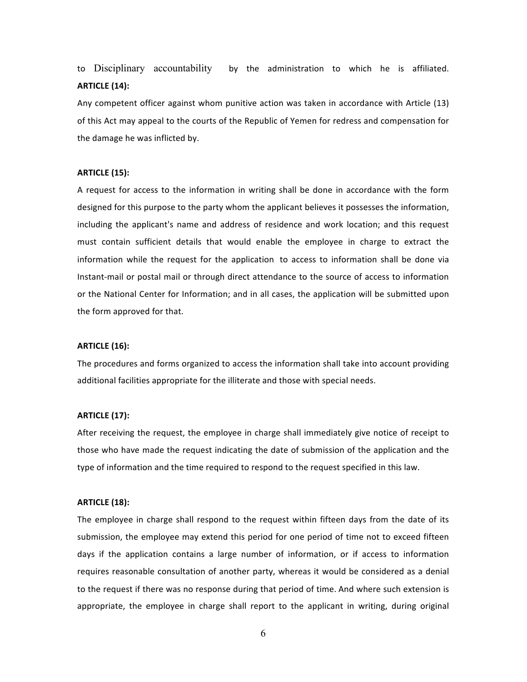to Disciplinary accountability by the administration to which he is affiliated. **ARTICLE (14):** 

Any competent officer against whom punitive action was taken in accordance with Article (13) of this Act may appeal to the courts of the Republic of Yemen for redress and compensation for the damage he was inflicted by.

#### **ARTICLE (15):**

A request for access to the information in writing shall be done in accordance with the form designed for this purpose to the party whom the applicant believes it possesses the information, including the applicant's name and address of residence and work location; and this request must contain sufficient details that would enable the employee in charge to extract the information while the request for the application to access to information shall be done via Instant-mail or postal mail or through direct attendance to the source of access to information or the National Center for Information; and in all cases, the application will be submitted upon the form approved for that.

### **ARTICLE (16):**

The procedures and forms organized to access the information shall take into account providing additional facilities appropriate for the illiterate and those with special needs.

#### **ARTICLE\$(17):\$**

After receiving the request, the employee in charge shall immediately give notice of receipt to those who have made the request indicating the date of submission of the application and the type of information and the time required to respond to the request specified in this law.

#### **ARTICLE (18):**

The employee in charge shall respond to the request within fifteen days from the date of its submission, the employee may extend this period for one period of time not to exceed fifteen days if the application contains a large number of information, or if access to information requires reasonable consultation of another party, whereas it would be considered as a denial to the request if there was no response during that period of time. And where such extension is appropriate, the employee in charge shall report to the applicant in writing, during original

6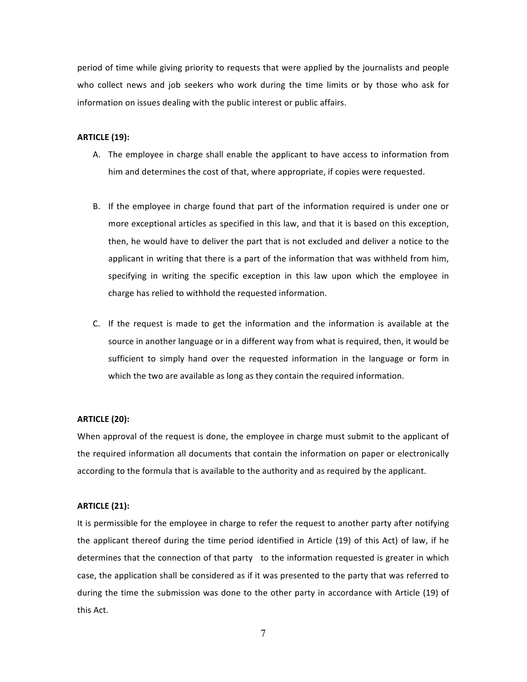period of time while giving priority to requests that were applied by the journalists and people who collect news and job seekers who work during the time limits or by those who ask for information on issues dealing with the public interest or public affairs.

# **ARTICLE (19):**

- A. The employee in charge shall enable the applicant to have access to information from him and determines the cost of that, where appropriate, if copies were requested.
- B. If the employee in charge found that part of the information required is under one or more exceptional articles as specified in this law, and that it is based on this exception, then, he would have to deliver the part that is not excluded and deliver a notice to the applicant in writing that there is a part of the information that was withheld from him, specifying in writing the specific exception in this law upon which the employee in charge has relied to withhold the requested information.
- C. If the request is made to get the information and the information is available at the source in another language or in a different way from what is required, then, it would be sufficient to simply hand over the requested information in the language or form in which the two are available as long as they contain the required information.

# **ARTICLE (20):**

When approval of the request is done, the employee in charge must submit to the applicant of the required information all documents that contain the information on paper or electronically according to the formula that is available to the authority and as required by the applicant.

# **ARTICLE (21):**

It is permissible for the employee in charge to refer the request to another party after notifying the applicant thereof during the time period identified in Article (19) of this Act) of law, if he determines that the connection of that party to the information requested is greater in which case, the application shall be considered as if it was presented to the party that was referred to during the time the submission was done to the other party in accordance with Article (19) of this!Act.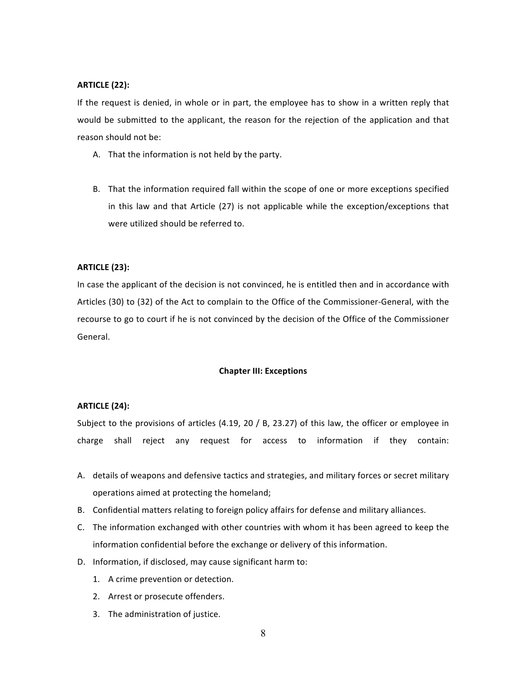# **ARTICLE (22):**

If the request is denied, in whole or in part, the employee has to show in a written reply that would be submitted to the applicant, the reason for the rejection of the application and that reason should not be:

- A. That the information is not held by the party.
- B. That the information required fall within the scope of one or more exceptions specified in this law and that Article (27) is not applicable while the exception/exceptions that were utilized should be referred to.

### **ARTICLE (23):**

In case the applicant of the decision is not convinced, he is entitled then and in accordance with Articles (30) to (32) of the Act to complain to the Office of the Commissioner-General, with the recourse to go to court if he is not convinced by the decision of the Office of the Commissioner General.

# **Chapter III: Exceptions**

#### **ARTICLE\$(24):\$**

Subject to the provisions of articles (4.19, 20 / B, 23.27) of this law, the officer or employee in charge shall reject any request for access to information if they contain:

- A. details of weapons and defensive tactics and strategies, and military forces or secret military operations aimed at protecting the homeland;
- B. Confidential matters relating to foreign policy affairs for defense and military alliances.
- C. The information exchanged with other countries with whom it has been agreed to keep the information confidential before the exchange or delivery of this information.
- D. Information, if disclosed, may cause significant harm to:
	- 1. A crime prevention or detection.
	- 2. Arrest or prosecute offenders.
	- 3. The administration of justice.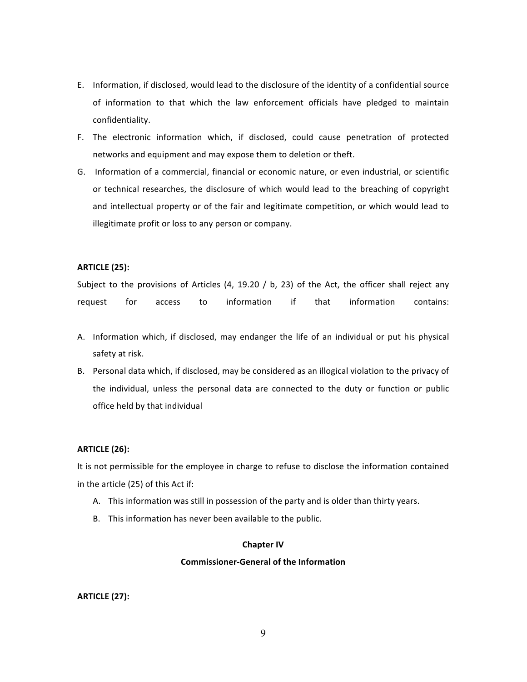- E. Information, if disclosed, would lead to the disclosure of the identity of a confidential source of information to that which the law enforcement officials have pledged to maintain confidentiality.
- F. The electronic information which, if disclosed, could cause penetration of protected networks and equipment and may expose them to deletion or theft.
- G. Information of a commercial, financial or economic nature, or even industrial, or scientific or technical researches, the disclosure of which would lead to the breaching of copyright and intellectual property or of the fair and legitimate competition, or which would lead to illegitimate profit or loss to any person or company.

# **ARTICLE (25):**

Subject to the provisions of Articles (4, 19.20 / b, 23) of the Act, the officer shall reject any request for access to information if that information contains:

- A. Information which, if disclosed, may endanger the life of an individual or put his physical safety at risk.
- B. Personal data which, if disclosed, may be considered as an illogical violation to the privacy of the individual, unless the personal data are connected to the duty or function or public office held by that individual

# **ARTICLE (26):**

It is not permissible for the employee in charge to refuse to disclose the information contained in the article (25) of this Act if:

- A. This information was still in possession of the party and is older than thirty years.
- B. This information has never been available to the public.

#### **Chapter IV**

### **Commissioner-General of the Information**

# **ARTICLE\$(27):**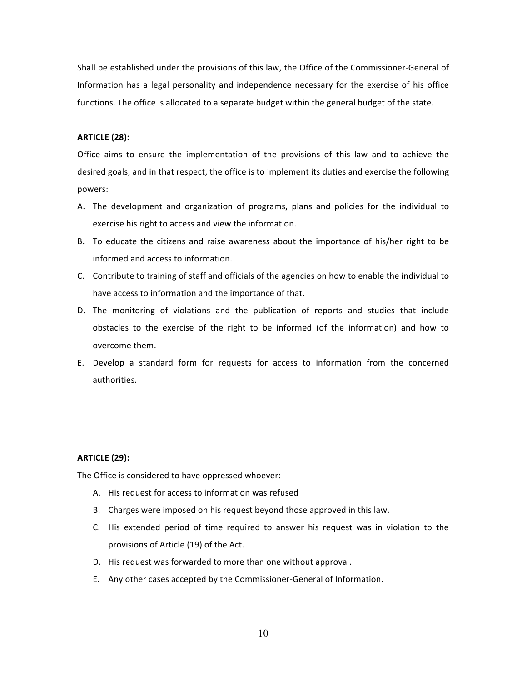Shall be established under the provisions of this law, the Office of the Commissioner-General of Information has a legal personality and independence necessary for the exercise of his office functions. The office is allocated to a separate budget within the general budget of the state.

# **ARTICLE (28):**

Office aims to ensure the implementation of the provisions of this law and to achieve the desired goals, and in that respect, the office is to implement its duties and exercise the following powers:

- A. The development and organization of programs, plans and policies for the individual to exercise his right to access and view the information.
- B. To educate the citizens and raise awareness about the importance of his/her right to be informed and access to information.
- C. Contribute to training of staff and officials of the agencies on how to enable the individual to have access to information and the importance of that.
- D. The monitoring of violations and the publication of reports and studies that include obstacles to the exercise of the right to be informed (of the information) and how to overcome them.
- E. Develop a standard form for requests for access to information from the concerned authorities.

### **ARTICLE\$(29):\$**

The Office is considered to have oppressed whoever:

- A. His request for access to information was refused
- B. Charges were imposed on his request beyond those approved in this law.
- C. His extended period of time required to answer his request was in violation to the provisions of Article (19) of the Act.
- D. His request was forwarded to more than one without approval.
- E. Any other cases accepted by the Commissioner-General of Information.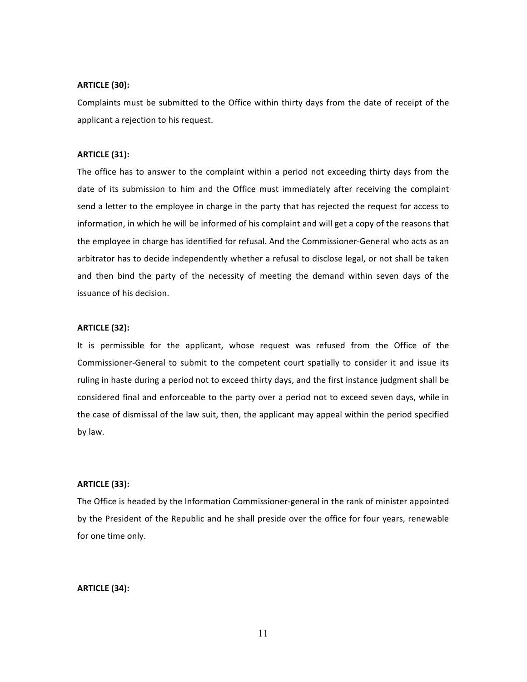# **ARTICLE (30):**

Complaints must be submitted to the Office within thirty days from the date of receipt of the applicant a rejection to his request.

#### **ARTICLE (31):**

The office has to answer to the complaint within a period not exceeding thirty days from the date of its submission to him and the Office must immediately after receiving the complaint send a letter to the employee in charge in the party that has rejected the request for access to information, in which he will be informed of his complaint and will get a copy of the reasons that the employee in charge has identified for refusal. And the Commissioner-General who acts as an arbitrator has to decide independently whether a refusal to disclose legal, or not shall be taken and then bind the party of the necessity of meeting the demand within seven days of the issuance of his decision.

# **ARTICLE (32):**

It is permissible for the applicant, whose request was refused from the Office of the Commissioner-General to submit to the competent court spatially to consider it and issue its ruling in haste during a period not to exceed thirty days, and the first instance judgment shall be considered final and enforceable to the party over a period not to exceed seven days, while in the case of dismissal of the law suit, then, the applicant may appeal within the period specified by law.

### **ARTICLE\$(33):\$**

The Office is headed by the Information Commissioner-general in the rank of minister appointed by the President of the Republic and he shall preside over the office for four years, renewable for one time only.

#### **ARTICLE (34):**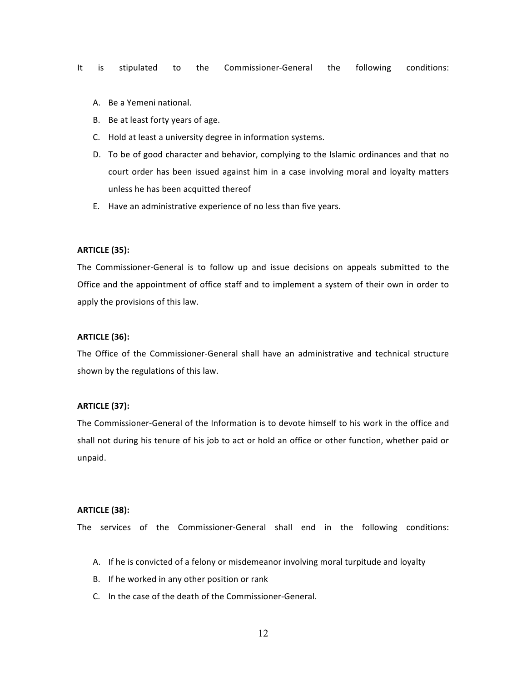- It is stipulated to the Commissioner-General the following conditions:
	- A. Be a Yemeni national.
	- B. Be at least forty years of age.
	- C. Hold at least a university degree in information systems.
	- D. To be of good character and behavior, complying to the Islamic ordinances and that no court order has been issued against him in a case involving moral and loyalty matters unless he has been acquitted thereof
	- E. Have an administrative experience of no less than five years.

# **ARTICLE\$(35):\$**

The Commissioner-General is to follow up and issue decisions on appeals submitted to the Office and the appointment of office staff and to implement a system of their own in order to apply the provisions of this law.

# **ARTICLE (36):\$**

The Office of the Commissioner-General shall have an administrative and technical structure shown by the regulations of this law.

#### **ARTICLE\$(37):\$**

The Commissioner-General of the Information is to devote himself to his work in the office and shall not during his tenure of his job to act or hold an office or other function, whether paid or unpaid.

#### **ARTICLE (38):**

The services of the Commissioner-General shall end in the following conditions:

- A. If he is convicted of a felony or misdemeanor involving moral turpitude and loyalty
- B. If he worked in any other position or rank
- C. In the case of the death of the Commissioner-General.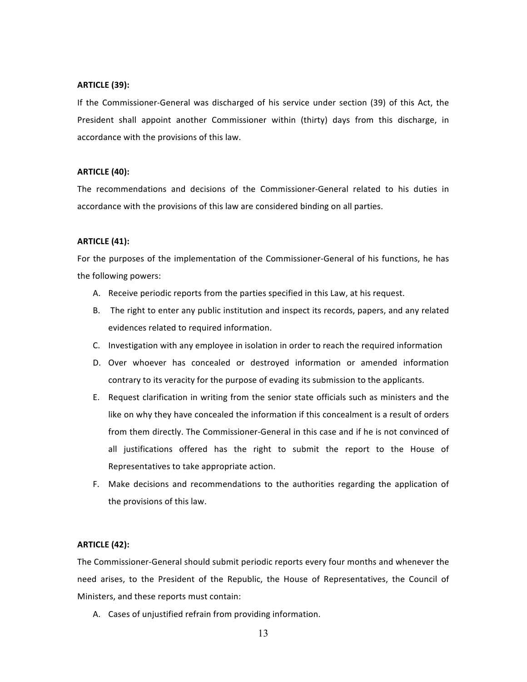# **ARTICLE (39):**

If the Commissioner-General was discharged of his service under section (39) of this Act, the President shall appoint another Commissioner within (thirty) days from this discharge, in accordance with the provisions of this law.

# **ARTICLE (40):**

The recommendations and decisions of the Commissioner-General related to his duties in accordance with the provisions of this law are considered binding on all parties.

# **ARTICLE (41):**

For the purposes of the implementation of the Commissioner-General of his functions, he has the following powers:

- A. Receive periodic reports from the parties specified in this Law, at his request.
- B. The right to enter any public institution and inspect its records, papers, and any related evidences related to required information.
- C. Investigation with any employee in isolation in order to reach the required information
- D. Over whoever has concealed or destroyed information or amended information contrary to its veracity for the purpose of evading its submission to the applicants.
- E. Request clarification in writing from the senior state officials such as ministers and the like on why they have concealed the information if this concealment is a result of orders from them directly. The Commissioner-General in this case and if he is not convinced of all justifications offered has the right to submit the report to the House of Representatives to take appropriate action.
- F. Make decisions and recommendations to the authorities regarding the application of the provisions of this law.

# **ARTICLE (42):**

The Commissioner-General should submit periodic reports every four months and whenever the need arises, to the President of the Republic, the House of Representatives, the Council of Ministers, and these reports must contain:

A. Cases of unjustified refrain from providing information.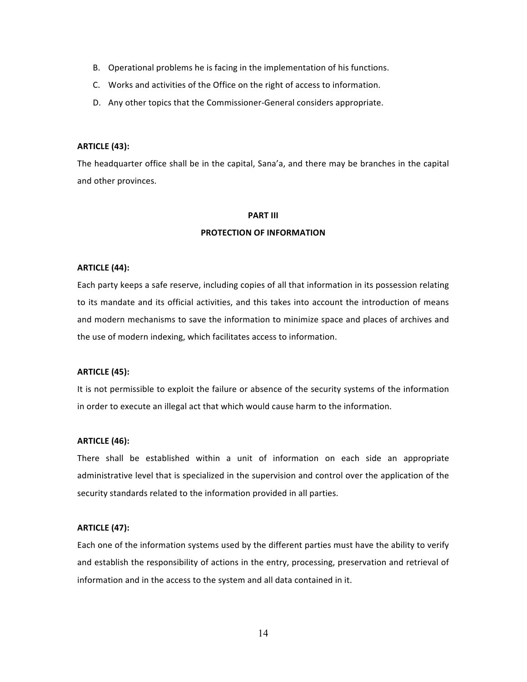- B. Operational problems he is facing in the implementation of his functions.
- C. Works and activities of the Office on the right of access to information.
- D. Any other topics that the Commissioner-General considers appropriate.

# **ARTICLE (43):**

The headquarter office shall be in the capital, Sana'a, and there may be branches in the capital and other provinces.

#### **PART III**

### **PROTECTION OF INFORMATION**

#### **ARTICLE (44):**

Each party keeps a safe reserve, including copies of all that information in its possession relating to its mandate and its official activities, and this takes into account the introduction of means and modern mechanisms to save the information to minimize space and places of archives and the use of modern indexing, which facilitates access to information.

# **ARTICLE (45):**

It is not permissible to exploit the failure or absence of the security systems of the information in order to execute an illegal act that which would cause harm to the information.

# **ARTICLE (46):**

There shall be established within a unit of information on each side an appropriate administrative level that is specialized in the supervision and control over the application of the security standards related to the information provided in all parties.

# **ARTICLE (47):**

Each one of the information systems used by the different parties must have the ability to verify and establish the responsibility of actions in the entry, processing, preservation and retrieval of information and in the access to the system and all data contained in it.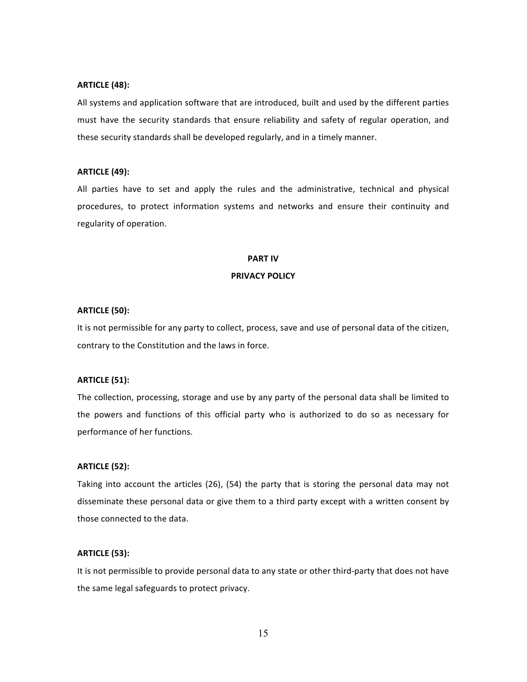### **ARTICLE (48):**

All systems and application software that are introduced, built and used by the different parties must have the security standards that ensure reliability and safety of regular operation, and these security standards shall be developed regularly, and in a timely manner.

### **ARTICLE (49):**

All parties have to set and apply the rules and the administrative, technical and physical procedures, to protect information systems and networks and ensure their continuity and regularity of operation.

#### **PART\$IV**

### **PRIVACY POLICY**

#### **ARTICLE\$(50):\$**

It is not permissible for any party to collect, process, save and use of personal data of the citizen, contrary to the Constitution and the laws in force.

# **ARTICLE (51):**

The collection, processing, storage and use by any party of the personal data shall be limited to the powers and functions of this official party who is authorized to do so as necessary for performance of her functions.

#### **ARTICLE (52):**

Taking into account the articles (26), (54) the party that is storing the personal data may not disseminate these personal data or give them to a third party except with a written consent by those connected to the data.

# **ARTICLE\$(53):\$**

It is not permissible to provide personal data to any state or other third-party that does not have the same legal safeguards to protect privacy.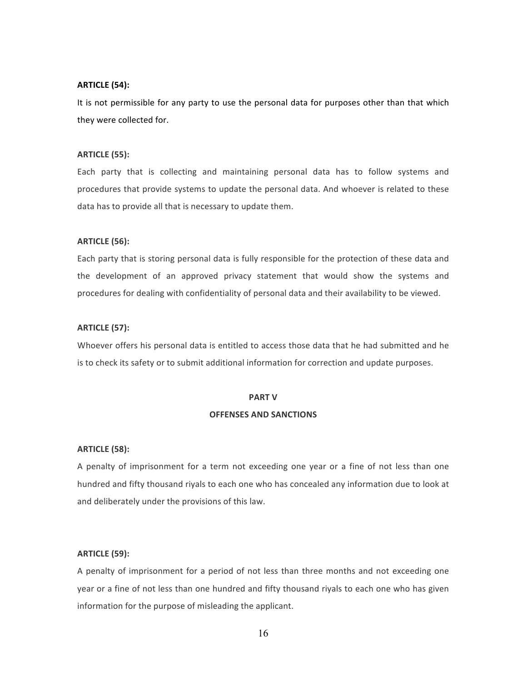# **ARTICLE (54):**

It is not permissible for any party to use the personal data for purposes other than that which they were collected for.

#### **ARTICLE (55):**

Each party that is collecting and maintaining personal data has to follow systems and procedures that provide systems to update the personal data. And whoever is related to these data has to provide all that is necessary to update them.

# **ARTICLE (56):**

Each party that is storing personal data is fully responsible for the protection of these data and the development of an approved privacy statement that would show the systems and procedures for dealing with confidentiality of personal data and their availability to be viewed.

# **ARTICLE (57):**

Whoever offers his personal data is entitled to access those data that he had submitted and he is to check its safety or to submit additional information for correction and update purposes.

#### **PART V**

#### **OFFENSES AND SANCTIONS**

#### **ARTICLE (58):**

A penalty of imprisonment for a term not exceeding one year or a fine of not less than one hundred and fifty thousand riyals to each one who has concealed any information due to look at and deliberately under the provisions of this law.

# **ARTICLE (59):**

A penalty of imprisonment for a period of not less than three months and not exceeding one year or a fine of not less than one hundred and fifty thousand riyals to each one who has given information for the purpose of misleading the applicant.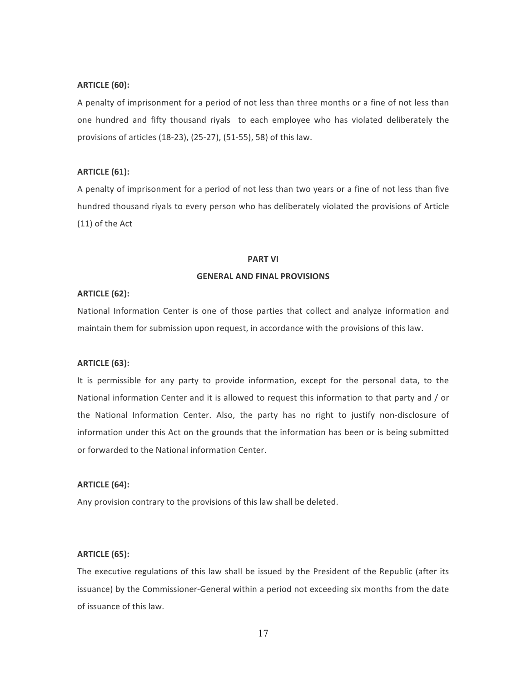# **ARTICLE (60):**

A penalty of imprisonment for a period of not less than three months or a fine of not less than one hundred and fifty thousand riyals to each employee who has violated deliberately the provisions of articles (18-23), (25-27), (51-55), 58) of this law.

# **ARTICLE (61):**

A penalty of imprisonment for a period of not less than two years or a fine of not less than five hundred thousand riyals to every person who has deliberately violated the provisions of Article  $(11)$  of the Act

#### **PART\$VI**

# **GENERAL AND FINAL PROVISIONS**

# **ARTICLE (62):**

National Information Center is one of those parties that collect and analyze information and maintain them for submission upon request, in accordance with the provisions of this law.

#### **ARTICLE\$(63):\$**

It is permissible for any party to provide information, except for the personal data, to the National information Center and it is allowed to request this information to that party and / or the National Information Center. Also, the party has no right to justify non-disclosure of information under this Act on the grounds that the information has been or is being submitted or forwarded to the National information Center.

# **ARTICLE (64):**

Any provision contrary to the provisions of this law shall be deleted.

# **ARTICLE (65):**

The executive regulations of this law shall be issued by the President of the Republic (after its issuance) by the Commissioner-General within a period not exceeding six months from the date of issuance of this law.